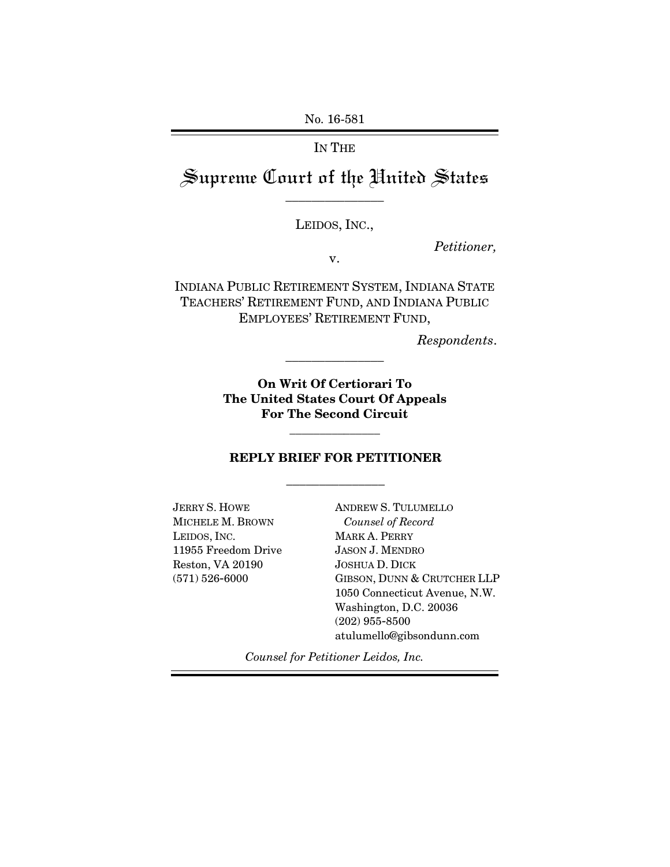No. 16-581

IN THE

Supreme Court of the United States \_\_\_\_\_\_\_\_\_\_\_\_\_\_\_

LEIDOS, INC.,

*Petitioner,*

v.

INDIANA PUBLIC RETIREMENT SYSTEM, INDIANA STATE TEACHERS' RETIREMENT FUND, AND INDIANA PUBLIC EMPLOYEES' RETIREMENT FUND,

*Respondents*.

**On Writ Of Certiorari To The United States Court Of Appeals For The Second Circuit**

\_\_\_\_\_\_\_\_\_\_\_\_\_\_\_

## **REPLY BRIEF FOR PETITIONER** \_\_\_\_\_\_\_\_\_\_\_\_\_\_\_

\_\_\_\_\_\_\_\_\_\_\_\_\_\_\_

JERRY S. HOWE MICHELE M. BROWN LEIDOS, INC. 11955 Freedom Drive Reston, VA 20190 (571) 526-6000

ANDREW S. TULUMELLO *Counsel of Record* MARK A. PERRY JASON J. MENDRO JOSHUA D. DICK GIBSON, DUNN & CRUTCHER LLP 1050 Connecticut Avenue, N.W. Washington, D.C. 20036 (202) 955-8500 atulumello@gibsondunn.com

*Counsel for Petitioner Leidos, Inc.*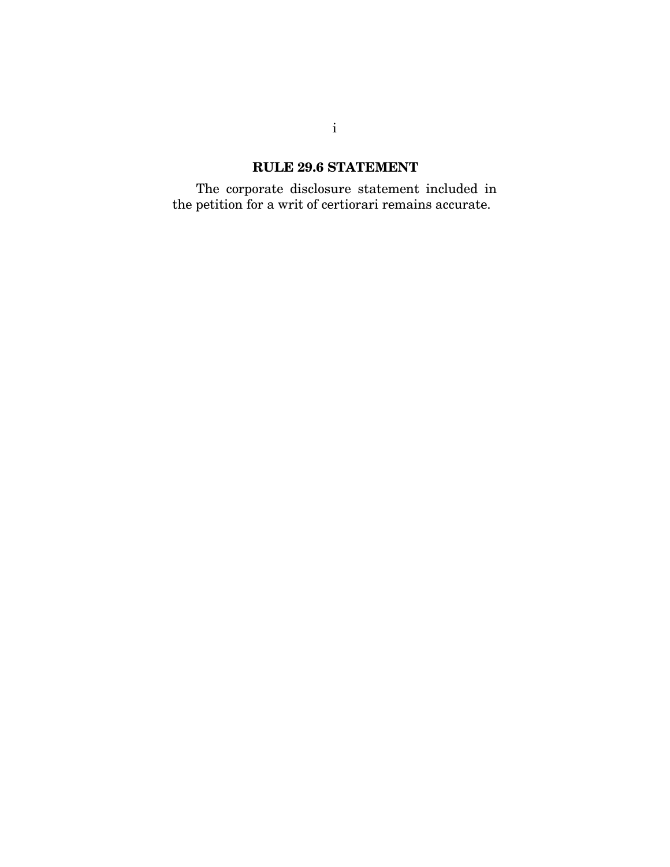### **RULE 29.6 STATEMENT**

The corporate disclosure statement included in the petition for a writ of certiorari remains accurate.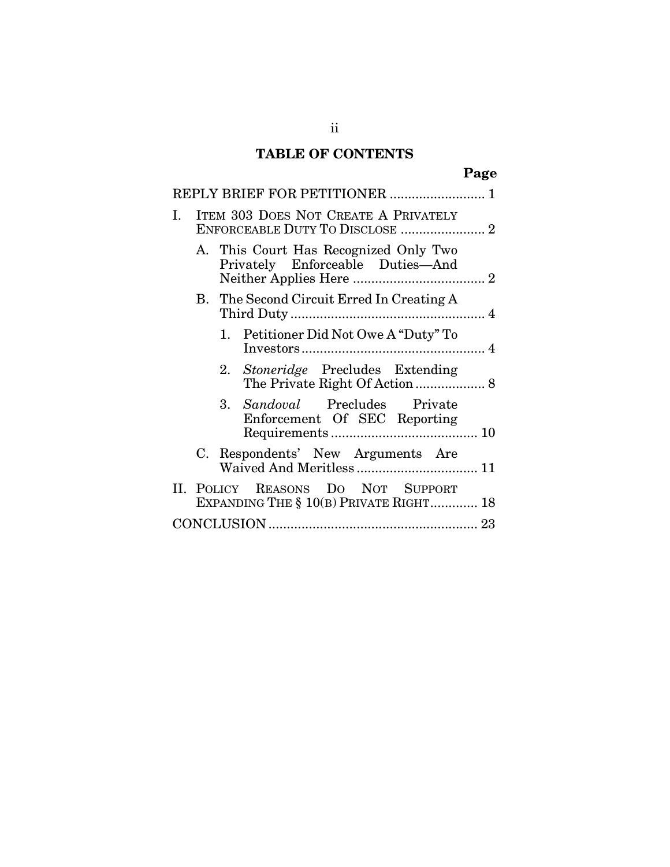## **TABLE OF CONTENTS**

| ×<br>٠ |
|--------|
|--------|

|    | REPLY BRIEF FOR PETITIONER  1                                                  |                                                                             |  |
|----|--------------------------------------------------------------------------------|-----------------------------------------------------------------------------|--|
| I. | <b>ITEM 303 DOES NOT CREATE A PRIVATELY</b><br>ENFORCEABLE DUTY TO DISCLOSE  2 |                                                                             |  |
|    |                                                                                | A. This Court Has Recognized Only Two<br>Privately Enforceable Duties-And   |  |
|    |                                                                                | B. The Second Circuit Erred In Creating A                                   |  |
|    |                                                                                | 1. Petitioner Did Not Owe A "Duty" To                                       |  |
|    |                                                                                | 2. Stoneridge Precludes Extending                                           |  |
|    |                                                                                | 3. Sandoval Precludes Private<br>Enforcement Of SEC Reporting               |  |
|    |                                                                                | C. Respondents' New Arguments Are<br>Waived And Meritless  11               |  |
|    |                                                                                | II. POLICY REASONS DO NOT SUPPORT<br>EXPANDING THE § 10(B) PRIVATE RIGHT 18 |  |
|    |                                                                                |                                                                             |  |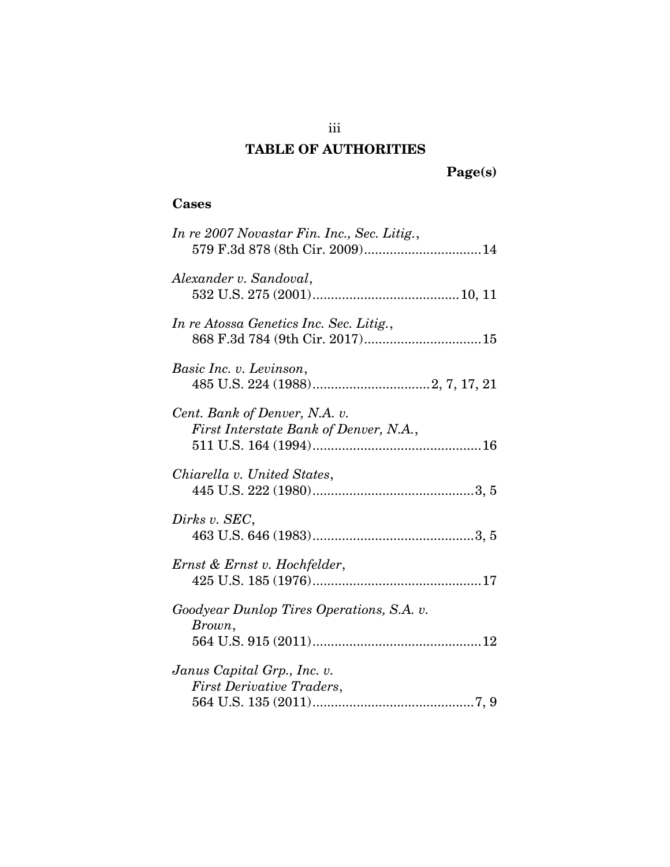## **TABLE OF AUTHORITIES**

**Page(s)**

## **Cases**

| In re 2007 Novastar Fin. Inc., Sec. Litig.,<br>579 F.3d 878 (8th Cir. 2009) 14 |
|--------------------------------------------------------------------------------|
| Alexander v. Sandoval,                                                         |
| In re Atossa Genetics Inc. Sec. Litig.,<br>868 F.3d 784 (9th Cir. 2017) 15     |
| Basic Inc. v. Levinson,                                                        |
| Cent. Bank of Denver, N.A. v.<br>First Interstate Bank of Denver, N.A.,        |
| Chiarella v. United States,                                                    |
| Dirks v. SEC,                                                                  |
| Ernst & Ernst v. Hochfelder,                                                   |
| Goodyear Dunlop Tires Operations, S.A. v.<br>Brown,                            |
| Janus Capital Grp., Inc. v.<br><b>First Derivative Traders,</b>                |

iii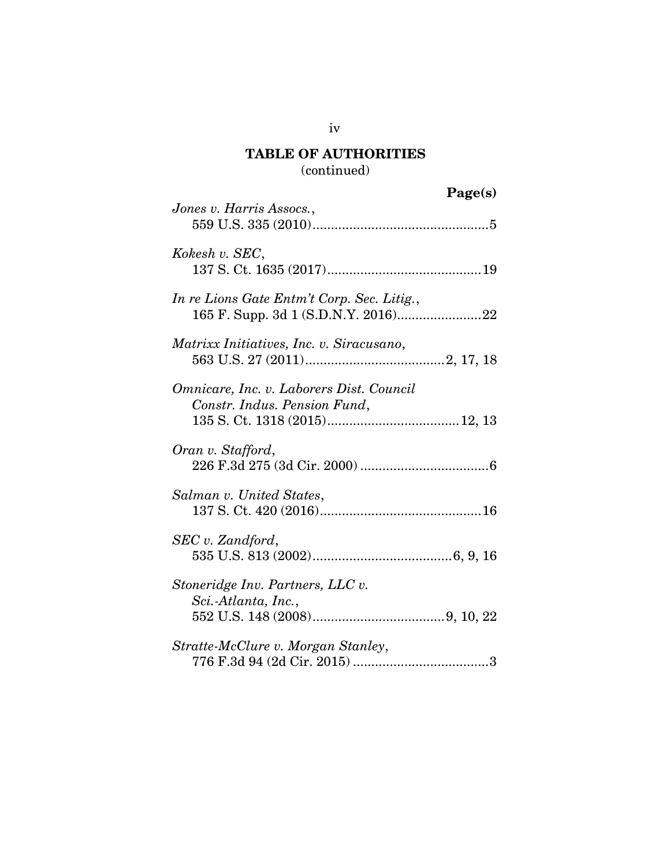## **TABLE OF AUTHORITIES** (continued)

|                                                                          | Page(s) |
|--------------------------------------------------------------------------|---------|
| Jones v. Harris Assocs.,                                                 |         |
| Kokesh v. SEC,                                                           |         |
| In re Lions Gate Entm't Corp. Sec. Litig.,                               |         |
| Matrixx Initiatives, Inc. v. Siracusano,                                 |         |
| Omnicare, Inc. v. Laborers Dist. Council<br>Constr. Indus. Pension Fund, |         |
| Oran v. Stafford,                                                        |         |
| Salman v. United States,                                                 |         |
| SEC v. Zandford,                                                         |         |
| Stoneridge Inv. Partners, LLC v.<br>Sci.-Atlanta, Inc.,                  |         |
| Stratte-McClure v. Morgan Stanley,                                       |         |

iv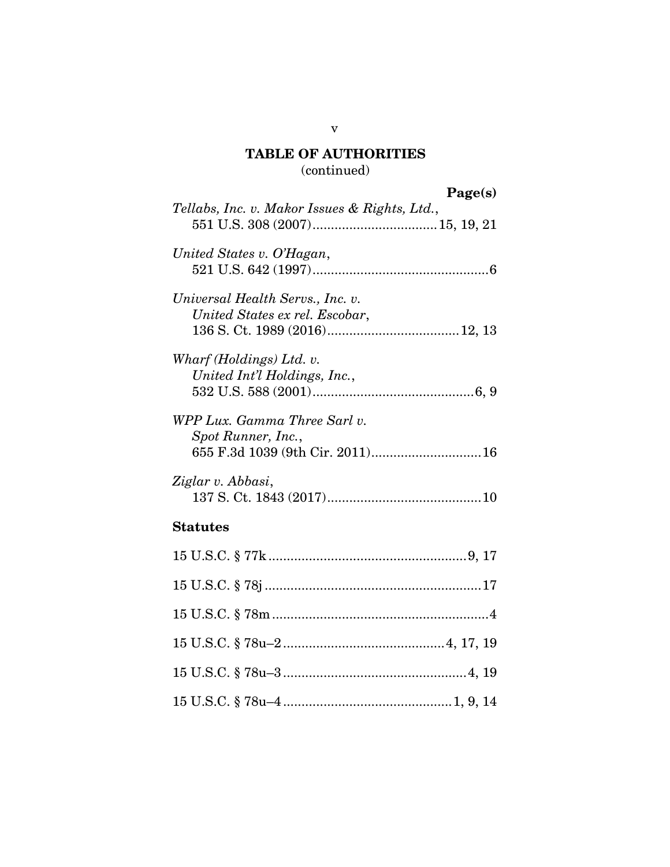## **TABLE OF AUTHORITIES** (continued)

## **Page(s)**

| Page(s)                                                                                |
|----------------------------------------------------------------------------------------|
| Tellabs, Inc. v. Makor Issues & Rights, Ltd.,                                          |
| United States v. O'Hagan,                                                              |
| Universal Health Servs., Inc. v.<br>United States ex rel. Escobar,                     |
| Wharf (Holdings) Ltd. v.<br>United Int'l Holdings, Inc.,                               |
| WPP Lux. Gamma Three Sarl v.<br>Spot Runner, Inc.,<br>655 F.3d 1039 (9th Cir. 2011) 16 |
| Ziglar v. Abbasi,                                                                      |
| <b>Statutes</b>                                                                        |
|                                                                                        |
|                                                                                        |
|                                                                                        |
|                                                                                        |
|                                                                                        |
|                                                                                        |

v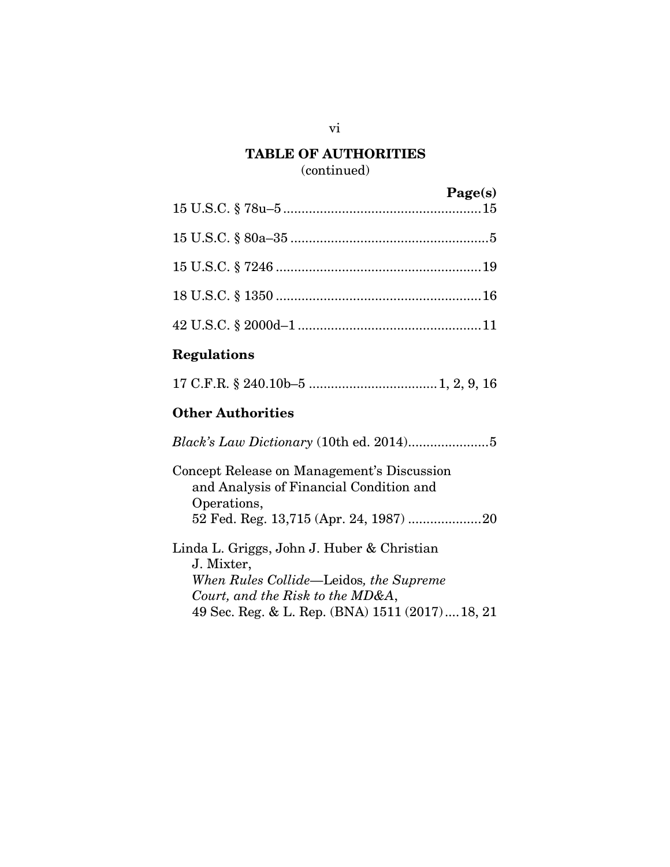# **TABLE OF AUTHORITIES**

## (continued)

| Page(s) |
|---------|
|         |
|         |
|         |
|         |

## **Regulations**

|--|--|--|--|--|--|

### **Other Authorities**

*Black's Law Dictionary* (10th ed. 2014).....................[.5](#page-12-4) Concept Release on Management's Discussion and Analysis of Financial Condition and Operations, 52 Fed. Reg. 13,715 (Apr. 24, 1987) ...................[.20](#page-27-0) Linda L. Griggs, John J. Huber & Christian J. Mixter, *When Rules Collide—*Leidos*, the Supreme Court, and the Risk to the MD&A*,

49 Sec. Reg. & L. Rep. (BNA) 1511 (2017)...[.18,](#page-25-1) [21](#page-28-2)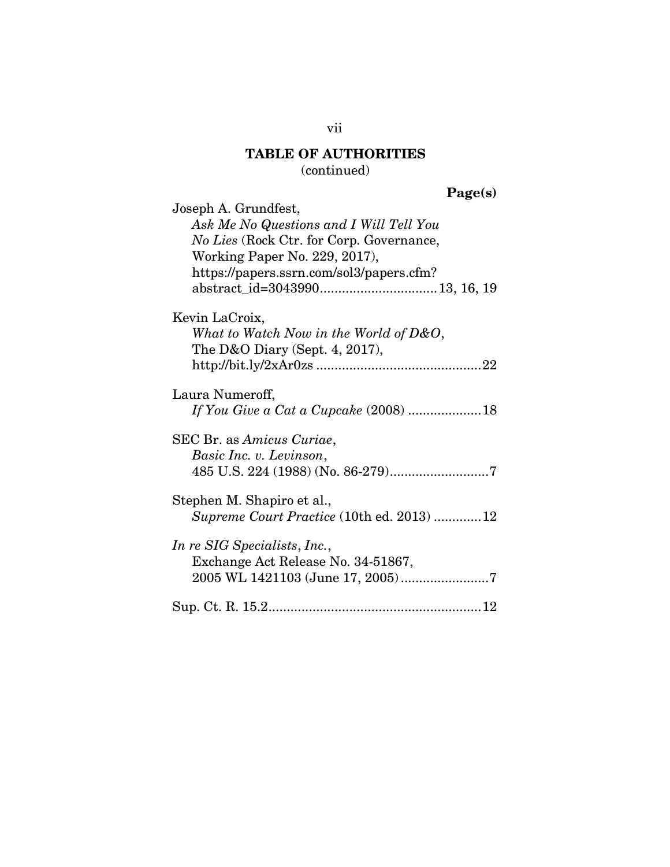# **TABLE OF AUTHORITIES**

(continued)

# **Page(s)**

| Joseph A. Grundfest,                             |
|--------------------------------------------------|
| Ask Me No Questions and I Will Tell You          |
| No Lies (Rock Ctr. for Corp. Governance,         |
| Working Paper No. 229, 2017),                    |
|                                                  |
| https://papers.ssrn.com/sol3/papers.cfm?         |
|                                                  |
| Kevin LaCroix,                                   |
| What to Watch Now in the World of $D&O$ ,        |
|                                                  |
| The D&O Diary (Sept. 4, 2017),                   |
|                                                  |
|                                                  |
| Laura Numeroff,                                  |
| If You Give a Cat a Cupcake (2008) 18            |
| SEC Br. as Amicus Curiae,                        |
|                                                  |
| Basic Inc. v. Levinson,                          |
|                                                  |
| Stephen M. Shapiro et al.,                       |
|                                                  |
| <i>Supreme Court Practice</i> (10th ed. 2013) 12 |
| <i>In re SIG Specialists, Inc.,</i>              |
|                                                  |
| Exchange Act Release No. 34-51867,               |
|                                                  |
|                                                  |
|                                                  |

## vii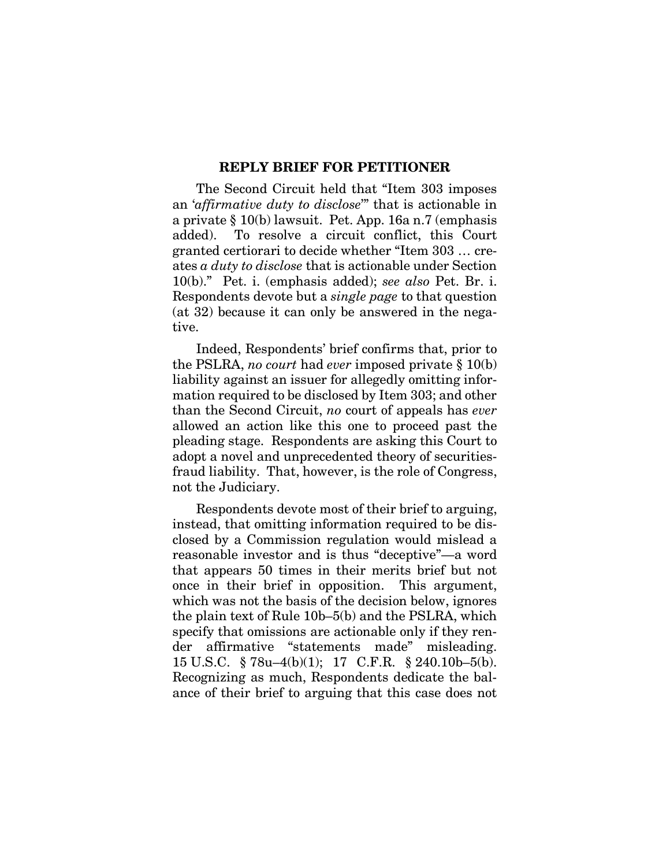#### **REPLY BRIEF FOR PETITIONER**

The Second Circuit held that "Item 303 imposes an '*affirmative duty to disclose*'" that is actionable in a private § 10(b) lawsuit. Pet. App. 16a n.7 (emphasis added). To resolve a circuit conflict, this Court granted certiorari to decide whether "Item 303 … creates *a duty to disclose* that is actionable under Section 10(b)." Pet. i. (emphasis added); *see also* Pet. Br. i. Respondents devote but a *single page* to that question (at 32) because it can only be answered in the negative.

Indeed, Respondents' brief confirms that, prior to the PSLRA, *no court* had *ever* imposed private § 10(b) liability against an issuer for allegedly omitting information required to be disclosed by Item 303; and other than the Second Circuit, *no* court of appeals has *ever* allowed an action like this one to proceed past the pleading stage. Respondents are asking this Court to adopt a novel and unprecedented theory of securitiesfraud liability. That, however, is the role of Congress, not the Judiciary.

<span id="page-8-1"></span><span id="page-8-0"></span>Respondents devote most of their brief to arguing, instead, that omitting information required to be disclosed by a Commission regulation would mislead a reasonable investor and is thus "deceptive"—a word that appears 50 times in their merits brief but not once in their brief in opposition. This argument, which was not the basis of the decision below, ignores the plain text of Rule 10b–5(b) and the PSLRA, which specify that omissions are actionable only if they render affirmative "statements made" misleading. 15 U.S.C. § 78u–4(b)(1); 17 C.F.R. § 240.10b–5(b). Recognizing as much, Respondents dedicate the balance of their brief to arguing that this case does not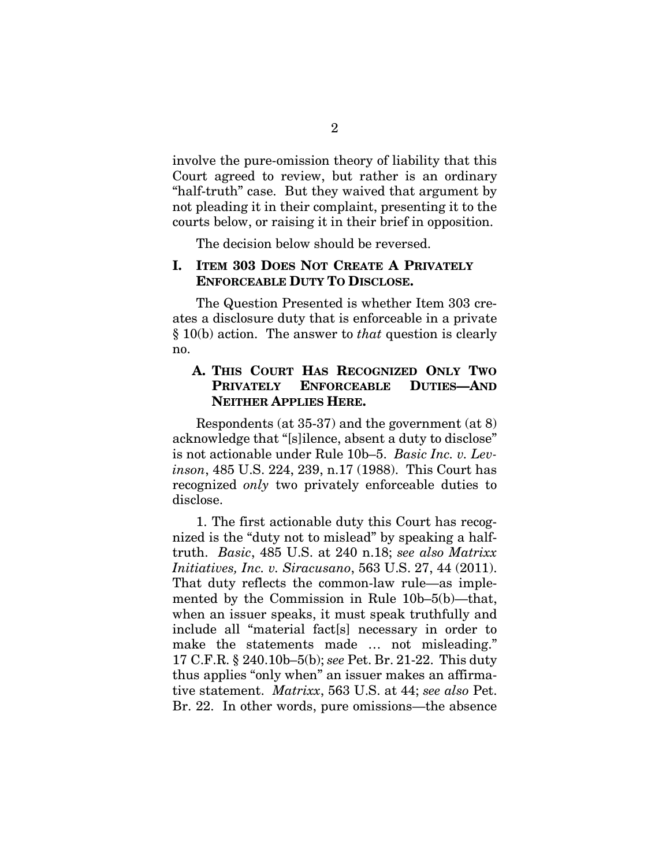involve the pure-omission theory of liability that this Court agreed to review, but rather is an ordinary "half-truth" case. But they waived that argument by not pleading it in their complaint, presenting it to the courts below, or raising it in their brief in opposition.

The decision below should be reversed.

### **I. ITEM 303 DOES NOT CREATE A PRIVATELY ENFORCEABLE DUTY TO DISCLOSE.**

The Question Presented is whether Item 303 creates a disclosure duty that is enforceable in a private § 10(b) action. The answer to *that* question is clearly no.

### <span id="page-9-0"></span>**A. THIS COURT HAS RECOGNIZED ONLY TWO PRIVATELY ENFORCEABLE DUTIES—AND NEITHER APPLIES HERE.**

Respondents (at 35-37) and the government (at 8) acknowledge that "[s]ilence, absent a duty to disclose" is not actionable under Rule 10b–5. *Basic Inc. v. Levinson*, 485 U.S. 224, 239, n.17 (1988). This Court has recognized *only* two privately enforceable duties to disclose.

<span id="page-9-2"></span><span id="page-9-1"></span>1. The first actionable duty this Court has recognized is the "duty not to mislead" by speaking a halftruth. *Basic*, 485 U.S. at 240 n.18; *see also Matrixx Initiatives, Inc. v. Siracusano*, 563 U.S. 27, 44 (2011). That duty reflects the common-law rule—as implemented by the Commission in Rule 10b–5(b)—that, when an issuer speaks, it must speak truthfully and include all "material fact[s] necessary in order to make the statements made … not misleading." 17 C.F.R. § 240.10b–5(b); *see* Pet. Br. 21-22. This duty thus applies "only when" an issuer makes an affirmative statement. *Matrixx*, 563 U.S. at 44; *see also* Pet. Br. 22. In other words, pure omissions—the absence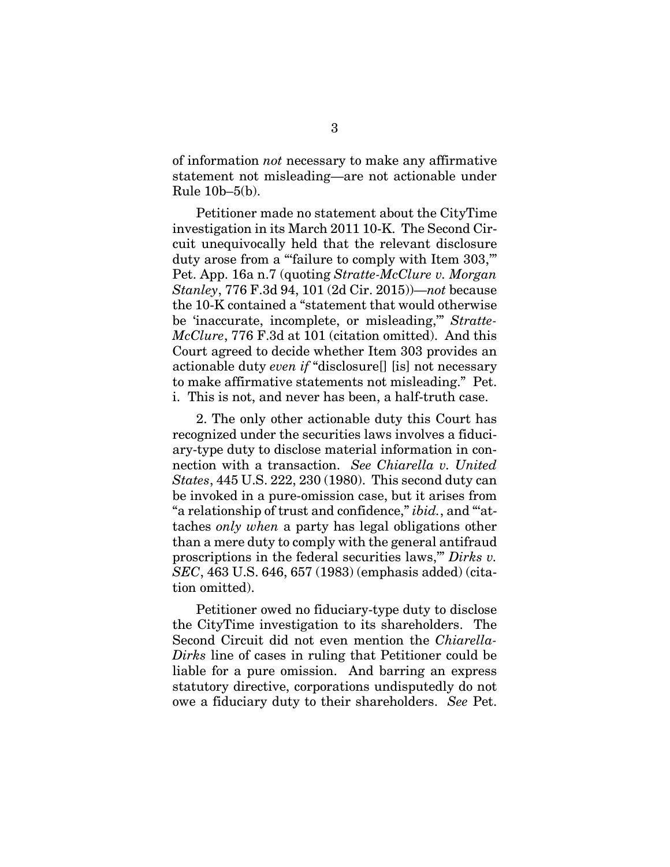of information *not* necessary to make any affirmative statement not misleading—are not actionable under Rule 10b–5(b).

<span id="page-10-2"></span>Petitioner made no statement about the CityTime investigation in its March 2011 10-K. The Second Circuit unequivocally held that the relevant disclosure duty arose from a "failure to comply with Item 303," Pet. App. 16a n.7 (quoting *Stratte-McClure v. Morgan Stanley*, 776 F.3d 94, 101 (2d Cir. 2015))—*not* because the 10-K contained a "statement that would otherwise be 'inaccurate, incomplete, or misleading,'" *Stratte-McClure*, 776 F.3d at 101 (citation omitted). And this Court agreed to decide whether Item 303 provides an actionable duty *even if* "disclosure[] [is] not necessary to make affirmative statements not misleading." Pet. i. This is not, and never has been, a half-truth case.

<span id="page-10-0"></span>2. The only other actionable duty this Court has recognized under the securities laws involves a fiduciary-type duty to disclose material information in connection with a transaction. *See Chiarella v. United States*, 445 U.S. 222, 230 (1980). This second duty can be invoked in a pure-omission case, but it arises from "a relationship of trust and confidence," *ibid.*, and "'attaches *only when* a party has legal obligations other than a mere duty to comply with the general antifraud proscriptions in the federal securities laws,'" *Dirks v. SEC*, 463 U.S. 646, 657 (1983) (emphasis added) (citation omitted).

<span id="page-10-1"></span>Petitioner owed no fiduciary-type duty to disclose the CityTime investigation to its shareholders. The Second Circuit did not even mention the *Chiarella-Dirks* line of cases in ruling that Petitioner could be liable for a pure omission. And barring an express statutory directive, corporations undisputedly do not owe a fiduciary duty to their shareholders. *See* Pet.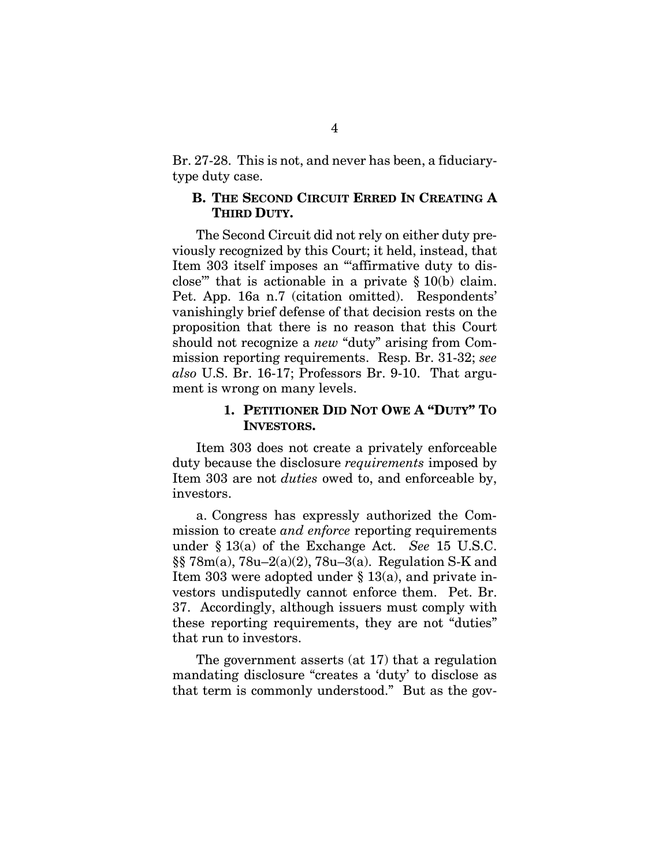Br. 27-28. This is not, and never has been, a fiduciarytype duty case.

### **B. THE SECOND CIRCUIT ERRED IN CREATING A THIRD DUTY.**

The Second Circuit did not rely on either duty previously recognized by this Court; it held, instead, that Item 303 itself imposes an "'affirmative duty to disclose" that is actionable in a private  $\S 10(b)$  claim. Pet. App. 16a n.7 (citation omitted). Respondents' vanishingly brief defense of that decision rests on the proposition that there is no reason that this Court should not recognize a *new* "duty" arising from Commission reporting requirements. Resp. Br. 31-32; *see also* U.S. Br. 16-17; Professors Br. 9-10. That argument is wrong on many levels.

### <span id="page-11-0"></span>**1. PETITIONER DID NOT OWE A "DUTY" TO INVESTORS.**

Item 303 does not create a privately enforceable duty because the disclosure *requirements* imposed by Item 303 are not *duties* owed to, and enforceable by, investors.

<span id="page-11-2"></span><span id="page-11-1"></span>a. Congress has expressly authorized the Commission to create *and enforce* reporting requirements under § 13(a) of the Exchange Act. *See* 15 U.S.C. §§ 78m(a), 78u–2(a)(2), 78u–3(a). Regulation S-K and Item 303 were adopted under § 13(a), and private investors undisputedly cannot enforce them. Pet. Br. 37. Accordingly, although issuers must comply with these reporting requirements, they are not "duties" that run to investors.

The government asserts (at 17) that a regulation mandating disclosure "creates a 'duty' to disclose as that term is commonly understood." But as the gov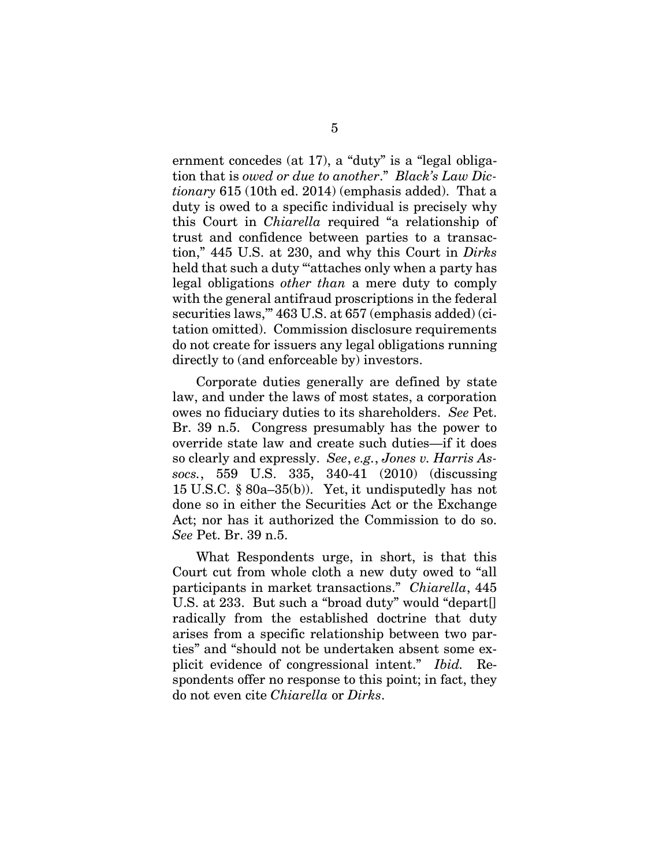<span id="page-12-4"></span><span id="page-12-1"></span><span id="page-12-0"></span>ernment concedes (at 17), a "duty" is a "legal obligation that is *owed or due to another*." *Black's Law Dictionary* 615 (10th ed. 2014) (emphasis added). That a duty is owed to a specific individual is precisely why this Court in *Chiarella* required "a relationship of trust and confidence between parties to a transaction," 445 U.S. at 230, and why this Court in *Dirks*  held that such a duty ""attaches only when a party has legal obligations *other than* a mere duty to comply with the general antifraud proscriptions in the federal securities laws,'" 463 U.S. at 657 (emphasis added) (citation omitted). Commission disclosure requirements do not create for issuers any legal obligations running directly to (and enforceable by) investors.

<span id="page-12-2"></span>Corporate duties generally are defined by state law, and under the laws of most states, a corporation owes no fiduciary duties to its shareholders. *See* Pet. Br. 39 n.5. Congress presumably has the power to override state law and create such duties—if it does so clearly and expressly. *See*, *e.g.*, *Jones v. Harris Assocs.*, 559 U.S. 335, 340-41 (2010) (discussing 15 U.S.C. § 80a–35(b)). Yet, it undisputedly has not done so in either the Securities Act or the Exchange Act; nor has it authorized the Commission to do so. *See* Pet. Br. 39 n.5.

<span id="page-12-3"></span>What Respondents urge, in short, is that this Court cut from whole cloth a new duty owed to "all participants in market transactions." *Chiarella*, 445 U.S. at 233. But such a "broad duty" would "depart[] radically from the established doctrine that duty arises from a specific relationship between two parties" and "should not be undertaken absent some explicit evidence of congressional intent." *Ibid.* Respondents offer no response to this point; in fact, they do not even cite *Chiarella* or *Dirks*.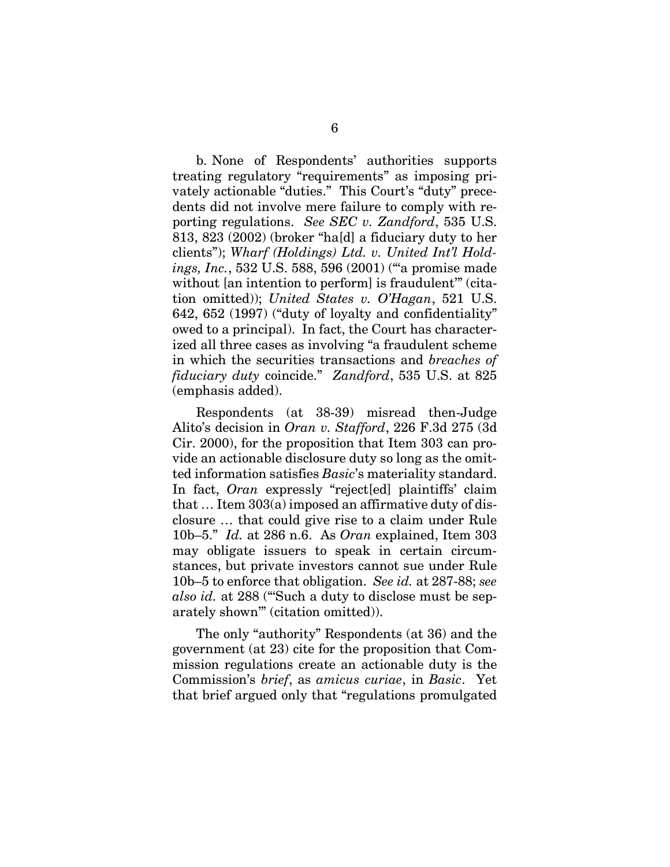<span id="page-13-4"></span><span id="page-13-2"></span>b. None of Respondents' authorities supports treating regulatory "requirements" as imposing privately actionable "duties." This Court's "duty" precedents did not involve mere failure to comply with reporting regulations. *See SEC v. Zandford*, 535 U.S. 813, 823 (2002) (broker "ha[d] a fiduciary duty to her clients"); *Wharf (Holdings) Ltd. v. United Int'l Holdings, Inc.*, 532 U.S. 588, 596 (2001) ("'a promise made without [an intention to perform] is fraudulent" (citation omitted)); *United States v. O'Hagan*, 521 U.S. 642, 652 (1997) ("duty of loyalty and confidentiality" owed to a principal). In fact, the Court has characterized all three cases as involving "a fraudulent scheme in which the securities transactions and *breaches of fiduciary duty* coincide." *Zandford*, 535 U.S. at 825 (emphasis added).

<span id="page-13-3"></span><span id="page-13-1"></span>Respondents (at 38-39) misread then-Judge Alito's decision in *Oran v. Stafford*, 226 F.3d 275 (3d Cir. 2000), for the proposition that Item 303 can provide an actionable disclosure duty so long as the omitted information satisfies *Basic*'s materiality standard. In fact, *Oran* expressly "reject[ed] plaintiffs' claim that … Item 303(a) imposed an affirmative duty of disclosure … that could give rise to a claim under Rule 10b–5." *Id.* at 286 n.6. As *Oran* explained, Item 303 may obligate issuers to speak in certain circumstances, but private investors cannot sue under Rule 10b–5 to enforce that obligation. *See id.* at 287-88; *see also id.* at 288 ("'Such a duty to disclose must be separately shown'" (citation omitted)).

<span id="page-13-0"></span>The only "authority" Respondents (at 36) and the government (at 23) cite for the proposition that Commission regulations create an actionable duty is the Commission's *brief*, as *amicus curiae*, in *Basic*. Yet that brief argued only that "regulations promulgated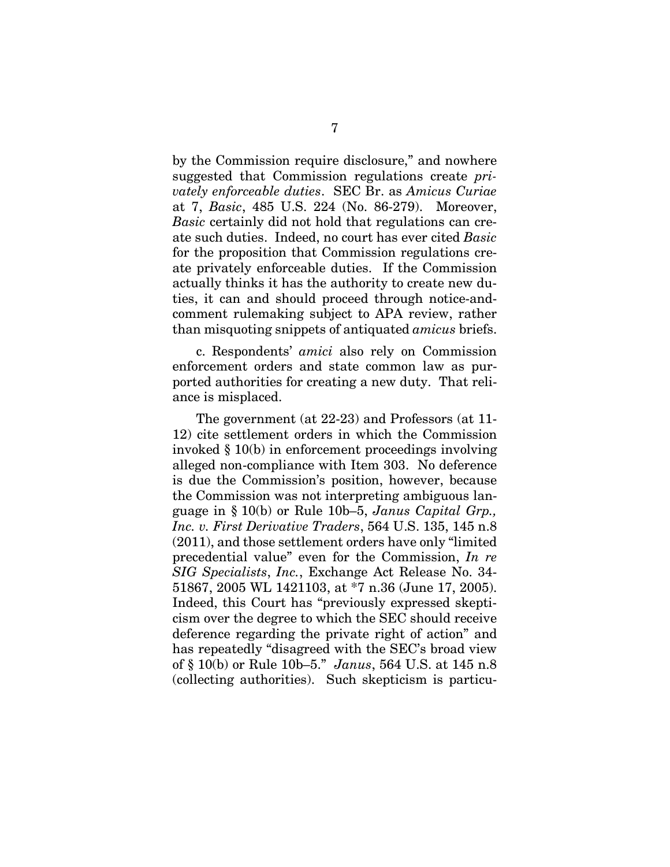by the Commission require disclosure," and nowhere suggested that Commission regulations create *privately enforceable duties*. SEC Br. as *Amicus Curiae* at 7, *Basic*, 485 U.S. 224 (No. 86-279). Moreover, *Basic* certainly did not hold that regulations can create such duties. Indeed, no court has ever cited *Basic* for the proposition that Commission regulations create privately enforceable duties. If the Commission actually thinks it has the authority to create new duties, it can and should proceed through notice-andcomment rulemaking subject to APA review, rather than misquoting snippets of antiquated *amicus* briefs.

c. Respondents' *amici* also rely on Commission enforcement orders and state common law as purported authorities for creating a new duty. That reliance is misplaced.

<span id="page-14-0"></span>The government (at 22-23) and Professors (at 11- 12) cite settlement orders in which the Commission invoked § 10(b) in enforcement proceedings involving alleged non-compliance with Item 303. No deference is due the Commission's position, however, because the Commission was not interpreting ambiguous language in § 10(b) or Rule 10b–5, *Janus Capital Grp., Inc. v. First Derivative Traders*, 564 U.S. 135, 145 n.8 (2011), and those settlement orders have only "limited precedential value" even for the Commission, *In re SIG Specialists*, *Inc.*, Exchange Act Release No. 34- 51867, 2005 WL 1421103, at \*7 n.36 (June 17, 2005). Indeed, this Court has "previously expressed skepticism over the degree to which the SEC should receive deference regarding the private right of action" and has repeatedly "disagreed with the SEC's broad view of § 10(b) or Rule 10b–5." *Janus*, 564 U.S. at 145 n.8 (collecting authorities). Such skepticism is particu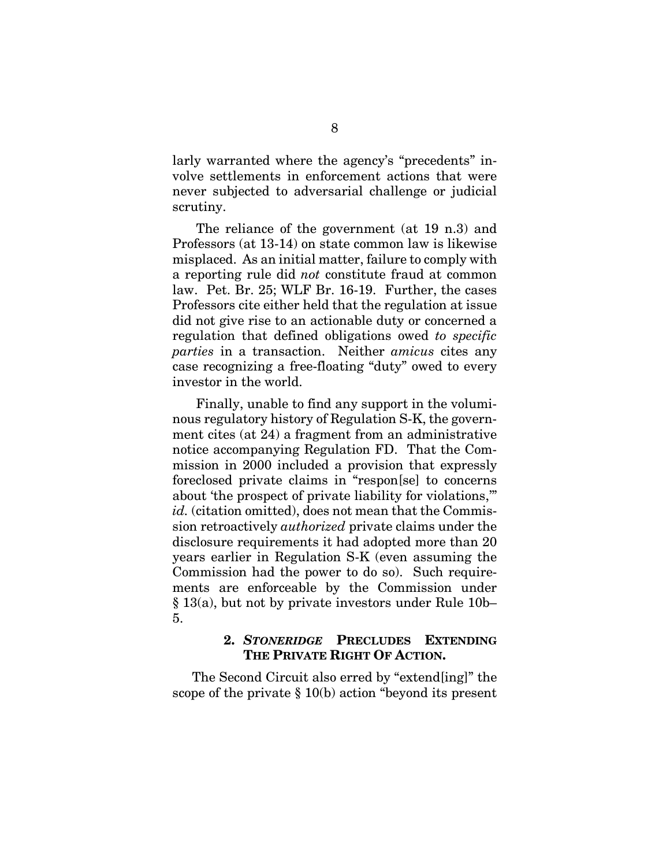larly warranted where the agency's "precedents" involve settlements in enforcement actions that were never subjected to adversarial challenge or judicial scrutiny.

The reliance of the government (at 19 n.3) and Professors (at 13-14) on state common law is likewise misplaced. As an initial matter, failure to comply with a reporting rule did *not* constitute fraud at common law. Pet. Br. 25; WLF Br. 16-19. Further, the cases Professors cite either held that the regulation at issue did not give rise to an actionable duty or concerned a regulation that defined obligations owed *to specific parties* in a transaction. Neither *amicus* cites any case recognizing a free-floating "duty" owed to every investor in the world.

Finally, unable to find any support in the voluminous regulatory history of Regulation S-K, the government cites (at 24) a fragment from an administrative notice accompanying Regulation FD. That the Commission in 2000 included a provision that expressly foreclosed private claims in "respon[se] to concerns about 'the prospect of private liability for violations,'" id. (citation omitted), does not mean that the Commission retroactively *authorized* private claims under the disclosure requirements it had adopted more than 20 years earlier in Regulation S-K (even assuming the Commission had the power to do so). Such requirements are enforceable by the Commission under § 13(a), but not by private investors under Rule 10b– 5.

### <span id="page-15-0"></span>**2.** *STONERIDGE* **PRECLUDES EXTENDING THE PRIVATE RIGHT OF ACTION.**

The Second Circuit also erred by "extend[ing]" the scope of the private § 10(b) action "beyond its present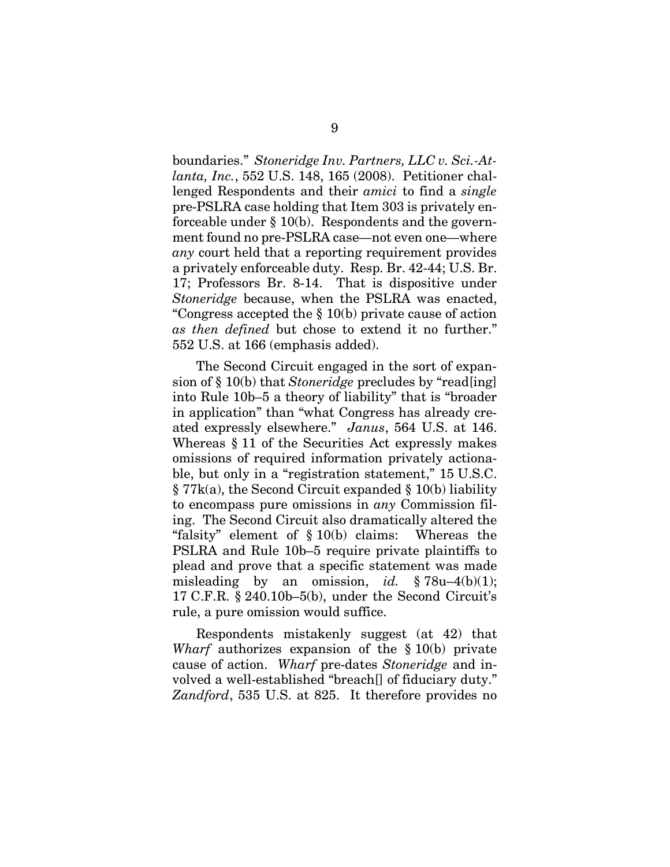boundaries." *Stoneridge Inv. Partners, LLC v. Sci.-Atlanta, Inc.*, 552 U.S. 148, 165 (2008). Petitioner challenged Respondents and their *amici* to find a *single* pre-PSLRA case holding that Item 303 is privately enforceable under § 10(b). Respondents and the government found no pre-PSLRA case*—*not even one*—*where *any* court held that a reporting requirement provides a privately enforceable duty. Resp. Br. 42-44; U.S. Br. 17; Professors Br. 8-14. That is dispositive under *Stoneridge* because, when the PSLRA was enacted, "Congress accepted the § 10(b) private cause of action *as then defined* but chose to extend it no further." 552 U.S. at 166 (emphasis added).

<span id="page-16-4"></span><span id="page-16-0"></span>The Second Circuit engaged in the sort of expansion of § 10(b) that *Stoneridge* precludes by "read[ing] into Rule 10b–5 a theory of liability" that is "broader in application" than "what Congress has already created expressly elsewhere." *Janus*, 564 U.S. at 146. Whereas § 11 of the Securities Act expressly makes omissions of required information privately actionable, but only in a "registration statement," 15 U.S.C. § 77k(a), the Second Circuit expanded § 10(b) liability to encompass pure omissions in *any* Commission filing. The Second Circuit also dramatically altered the "falsity" element of  $\S 10(b)$  claims: Whereas the PSLRA and Rule 10b–5 require private plaintiffs to plead and prove that a specific statement was made misleading by an omission, *id.*  $\S 78u-4(b)(1)$ ; 17 C.F.R. § 240.10b–5(b), under the Second Circuit's rule, a pure omission would suffice.

<span id="page-16-5"></span><span id="page-16-3"></span><span id="page-16-2"></span><span id="page-16-1"></span>Respondents mistakenly suggest (at 42) that *Wharf* authorizes expansion of the § 10(b) private cause of action. *Wharf* pre-dates *Stoneridge* and involved a well-established "breach[] of fiduciary duty." *Zandford*, 535 U.S. at 825. It therefore provides no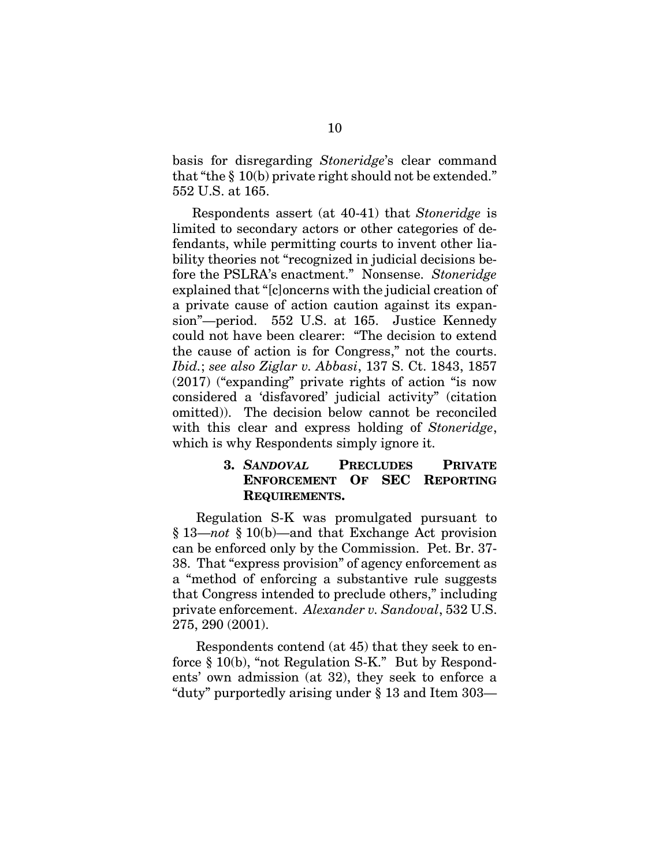basis for disregarding *Stoneridge*'s clear command that "the § 10(b) private right should not be extended." 552 U.S. at 165.

Respondents assert (at 40-41) that *Stoneridge* is limited to secondary actors or other categories of defendants, while permitting courts to invent other liability theories not "recognized in judicial decisions before the PSLRA's enactment." Nonsense. *Stoneridge*  explained that "[c]oncerns with the judicial creation of a private cause of action caution against its expansion"—period. 552 U.S. at 165. Justice Kennedy could not have been clearer: "The decision to extend the cause of action is for Congress," not the courts. *Ibid.*; *see also Ziglar v. Abbasi*, 137 S. Ct. 1843, 1857 (2017) ("expanding" private rights of action "is now considered a 'disfavored' judicial activity" (citation omitted)). The decision below cannot be reconciled with this clear and express holding of *Stoneridge*, which is why Respondents simply ignore it.

### <span id="page-17-1"></span><span id="page-17-0"></span>**3.** *SANDOVAL* **PRECLUDES PRIVATE ENFORCEMENT OF SEC REPORTING REQUIREMENTS.**

Regulation S-K was promulgated pursuant to § 13—*not* § 10(b)—and that Exchange Act provision can be enforced only by the Commission. Pet. Br. 37- 38. That "express provision" of agency enforcement as a "method of enforcing a substantive rule suggests that Congress intended to preclude others," including private enforcement. *Alexander v. Sandoval*, 532 U.S. 275, 290 (2001).

Respondents contend (at 45) that they seek to enforce § 10(b), "not Regulation S-K." But by Respondents' own admission (at 32), they seek to enforce a "duty" purportedly arising under § 13 and Item 303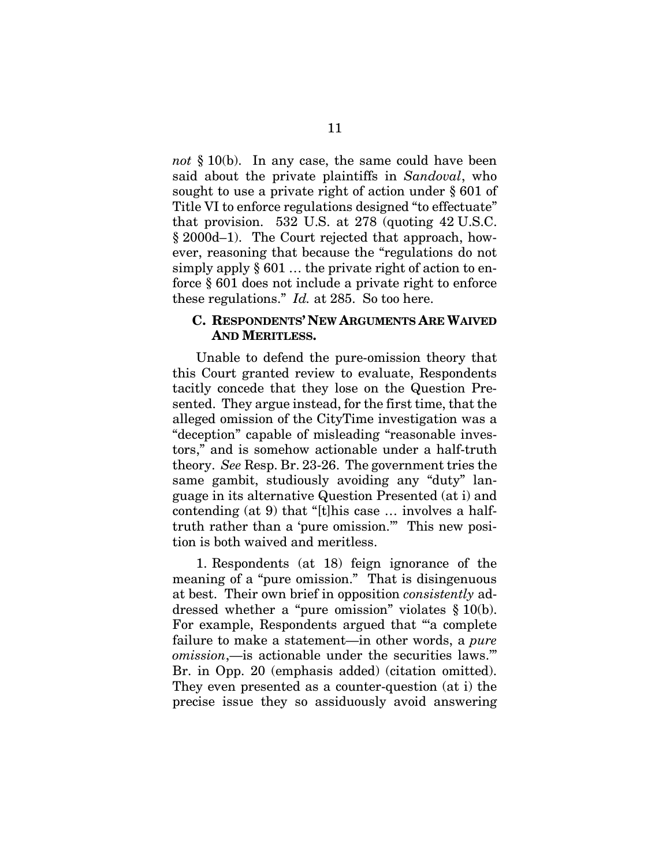<span id="page-18-0"></span>*not* § 10(b). In any case, the same could have been said about the private plaintiffs in *Sandoval*, who sought to use a private right of action under § 601 of Title VI to enforce regulations designed "to effectuate" that provision. 532 U.S. at 278 (quoting 42 U.S.C. § 2000d–1). The Court rejected that approach, however, reasoning that because the "regulations do not simply apply § 601 … the private right of action to enforce § 601 does not include a private right to enforce these regulations." *Id.* at 285. So too here.

#### **C. RESPONDENTS' NEW ARGUMENTS ARE WAIVED AND MERITLESS.**

Unable to defend the pure-omission theory that this Court granted review to evaluate, Respondents tacitly concede that they lose on the Question Presented. They argue instead, for the first time, that the alleged omission of the CityTime investigation was a "deception" capable of misleading "reasonable investors," and is somehow actionable under a half-truth theory. *See* Resp. Br. 23-26. The government tries the same gambit, studiously avoiding any "duty" language in its alternative Question Presented (at i) and contending (at 9) that "[t]his case … involves a halftruth rather than a 'pure omission.'" This new position is both waived and meritless.

1. Respondents (at 18) feign ignorance of the meaning of a "pure omission." That is disingenuous at best. Their own brief in opposition *consistently* addressed whether a "pure omission" violates § 10(b). For example, Respondents argued that "a complete" failure to make a statement—in other words, a *pure omission*,—is actionable under the securities laws.'" Br. in Opp. 20 (emphasis added) (citation omitted). They even presented as a counter-question (at i) the precise issue they so assiduously avoid answering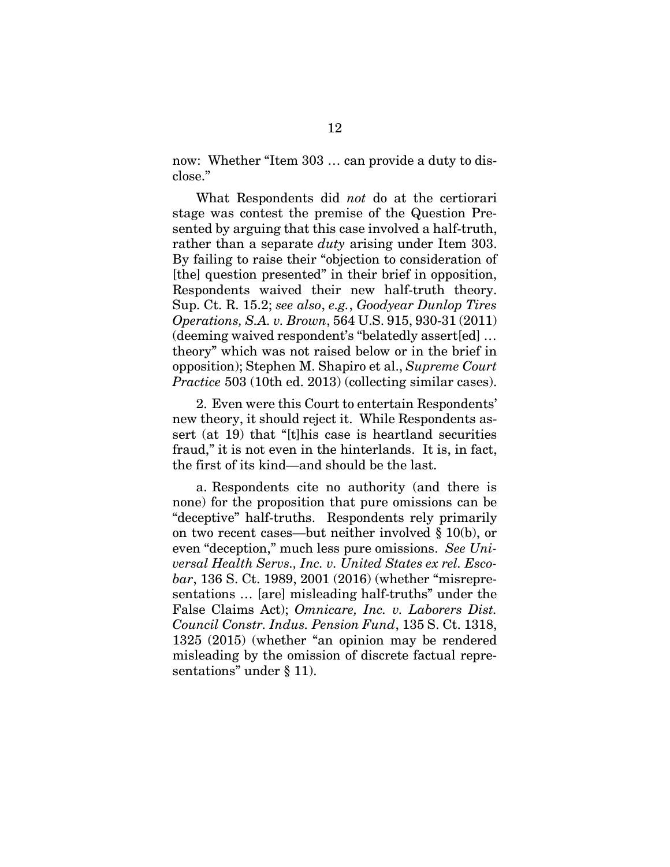now: Whether "Item 303 … can provide a duty to disclose."

What Respondents did *not* do at the certiorari stage was contest the premise of the Question Presented by arguing that this case involved a half-truth, rather than a separate *duty* arising under Item 303. By failing to raise their "objection to consideration of [the] question presented" in their brief in opposition, Respondents waived their new half-truth theory. Sup. Ct. R. 15.2; *see also*, *e.g.*, *Goodyear Dunlop Tires Operations, S.A. v. Brown*, 564 U.S. 915, 930-31 (2011) (deeming waived respondent's "belatedly assert[ed] … theory" which was not raised below or in the brief in opposition); Stephen M. Shapiro et al., *Supreme Court Practice* 503 (10th ed. 2013) (collecting similar cases).

<span id="page-19-4"></span><span id="page-19-3"></span><span id="page-19-0"></span>2. Even were this Court to entertain Respondents' new theory, it should reject it. While Respondents assert (at 19) that "[t]his case is heartland securities fraud," it is not even in the hinterlands. It is, in fact, the first of its kind—and should be the last.

<span id="page-19-2"></span><span id="page-19-1"></span>a. Respondents cite no authority (and there is none) for the proposition that pure omissions can be "deceptive" half-truths. Respondents rely primarily on two recent cases—but neither involved § 10(b), or even "deception," much less pure omissions. *See Universal Health Servs., Inc. v. United States ex rel. Escobar*, 136 S. Ct. 1989, 2001 (2016) (whether "misrepresentations … [are] misleading half-truths" under the False Claims Act); *Omnicare, Inc. v. Laborers Dist. Council Constr. Indus. Pension Fund*, 135 S. Ct. 1318, 1325 (2015) (whether "an opinion may be rendered misleading by the omission of discrete factual representations" under § 11).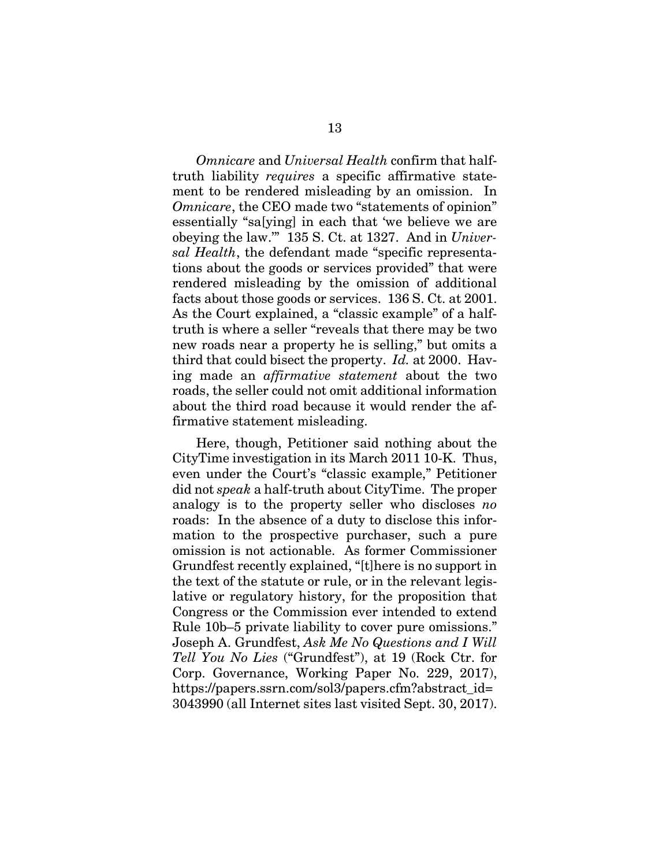*Omnicare* and *Universal Health* confirm that halftruth liability *requires* a specific affirmative statement to be rendered misleading by an omission. In *Omnicare*, the CEO made two "statements of opinion" essentially "sa[ying] in each that 'we believe we are obeying the law.'" 135 S. Ct. at 1327. And in *Universal Health*, the defendant made "specific representations about the goods or services provided" that were rendered misleading by the omission of additional facts about those goods or services. 136 S. Ct. at 2001. As the Court explained, a "classic example" of a halftruth is where a seller "reveals that there may be two new roads near a property he is selling," but omits a third that could bisect the property. *Id.* at 2000. Having made an *affirmative statement* about the two roads, the seller could not omit additional information about the third road because it would render the affirmative statement misleading.

Here, though, Petitioner said nothing about the CityTime investigation in its March 2011 10-K. Thus, even under the Court's "classic example," Petitioner did not *speak* a half-truth about CityTime. The proper analogy is to the property seller who discloses *no*  roads: In the absence of a duty to disclose this information to the prospective purchaser, such a pure omission is not actionable. As former Commissioner Grundfest recently explained, "[t]here is no support in the text of the statute or rule, or in the relevant legislative or regulatory history, for the proposition that Congress or the Commission ever intended to extend Rule 10b–5 private liability to cover pure omissions." Joseph A. Grundfest, *Ask Me No Questions and I Will Tell You No Lies* ("Grundfest"), at 19 (Rock Ctr. for Corp. Governance, Working Paper No. 229, 2017), https://papers.ssrn.com/sol3/papers.cfm?abstract\_id= 3043990 (all Internet sites last visited Sept. 30, 2017).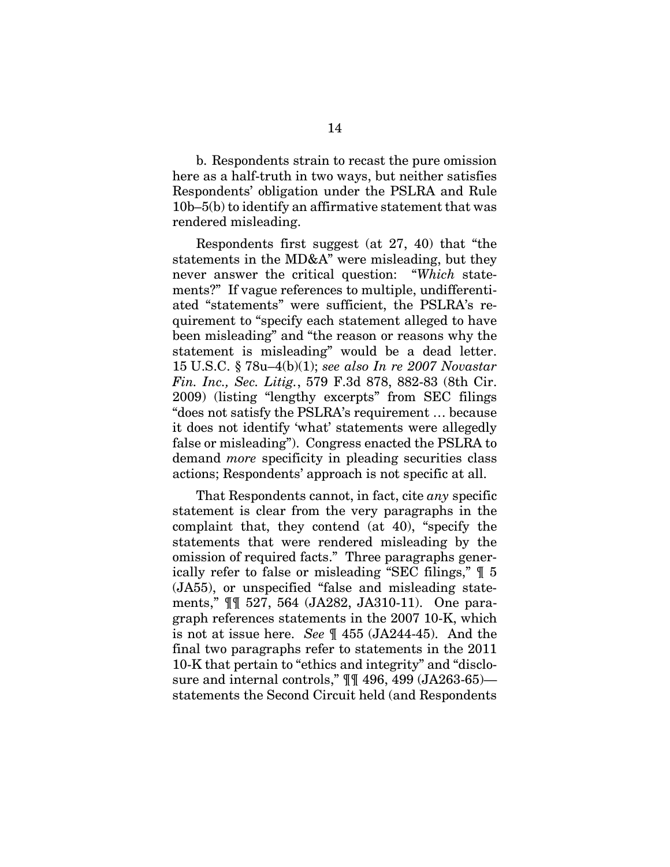b. Respondents strain to recast the pure omission here as a half-truth in two ways, but neither satisfies Respondents' obligation under the PSLRA and Rule 10b–5(b) to identify an affirmative statement that was rendered misleading.

<span id="page-21-1"></span><span id="page-21-0"></span>Respondents first suggest (at 27, 40) that "the statements in the MD&A" were misleading, but they never answer the critical question: "*Which* statements?" If vague references to multiple, undifferentiated "statements" were sufficient, the PSLRA's requirement to "specify each statement alleged to have been misleading" and "the reason or reasons why the statement is misleading" would be a dead letter. 15 U.S.C. § 78u–4(b)(1); *see also In re 2007 Novastar Fin. Inc., Sec. Litig.*, 579 F.3d 878, 882-83 (8th Cir. 2009) (listing "lengthy excerpts" from SEC filings "does not satisfy the PSLRA's requirement … because it does not identify 'what' statements were allegedly false or misleading"). Congress enacted the PSLRA to demand *more* specificity in pleading securities class actions; Respondents' approach is not specific at all.

That Respondents cannot, in fact, cite *any* specific statement is clear from the very paragraphs in the complaint that, they contend (at 40), "specify the statements that were rendered misleading by the omission of required facts." Three paragraphs generically refer to false or misleading "SEC filings," ¶ 5 (JA55), or unspecified "false and misleading statements," ¶¶ 527, 564 (JA282, JA310-11). One paragraph references statements in the 2007 10-K, which is not at issue here. *See* ¶ 455 (JA244-45). And the final two paragraphs refer to statements in the 2011 10-K that pertain to "ethics and integrity" and "disclosure and internal controls," ¶¶ 496, 499 (JA263-65) statements the Second Circuit held (and Respondents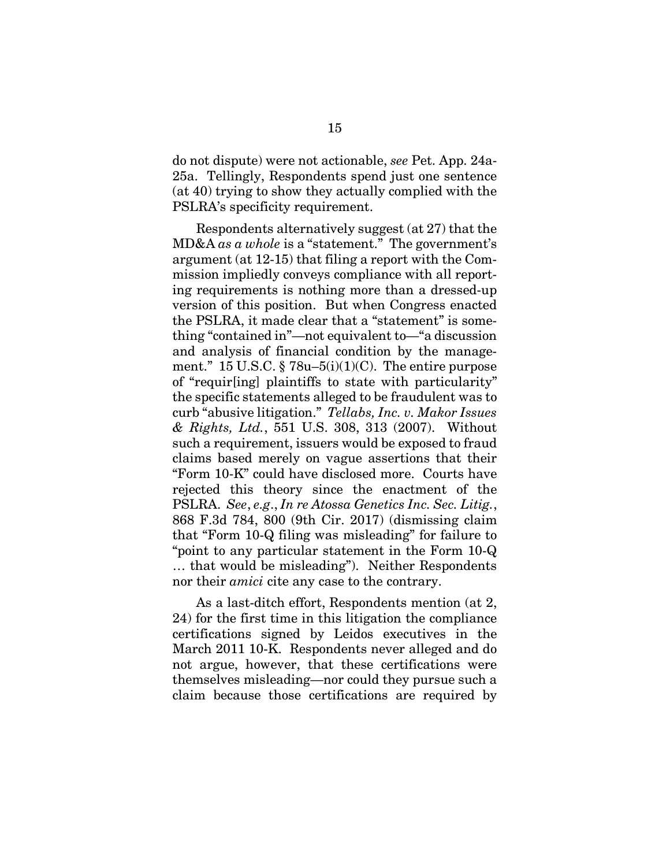do not dispute) were not actionable, *see* Pet. App. 24a-25a. Tellingly, Respondents spend just one sentence (at 40) trying to show they actually complied with the PSLRA's specificity requirement.

<span id="page-22-2"></span><span id="page-22-1"></span>Respondents alternatively suggest (at 27) that the MD&A *as a whole* is a "statement." The government's argument (at 12-15) that filing a report with the Commission impliedly conveys compliance with all reporting requirements is nothing more than a dressed-up version of this position. But when Congress enacted the PSLRA, it made clear that a "statement" is something "contained in"—not equivalent to—"a discussion and analysis of financial condition by the management." 15 U.S.C.  $\S$  78u–5(i)(1)(C). The entire purpose of "requir[ing] plaintiffs to state with particularity" the specific statements alleged to be fraudulent was to curb "abusive litigation." *Tellabs, Inc. v. Makor Issues & Rights, Ltd.*, 551 U.S. 308, 313 (2007). Without such a requirement, issuers would be exposed to fraud claims based merely on vague assertions that their "Form 10-K" could have disclosed more. Courts have rejected this theory since the enactment of the PSLRA. *See*, *e.g*., *In re Atossa Genetics Inc. Sec. Litig.*, 868 F.3d 784, 800 (9th Cir. 2017) (dismissing claim that "Form 10-Q filing was misleading" for failure to "point to any particular statement in the Form 10-Q … that would be misleading"). Neither Respondents nor their *amici* cite any case to the contrary.

<span id="page-22-0"></span>As a last-ditch effort, Respondents mention (at 2, 24) for the first time in this litigation the compliance certifications signed by Leidos executives in the March 2011 10-K. Respondents never alleged and do not argue, however, that these certifications were themselves misleading—nor could they pursue such a claim because those certifications are required by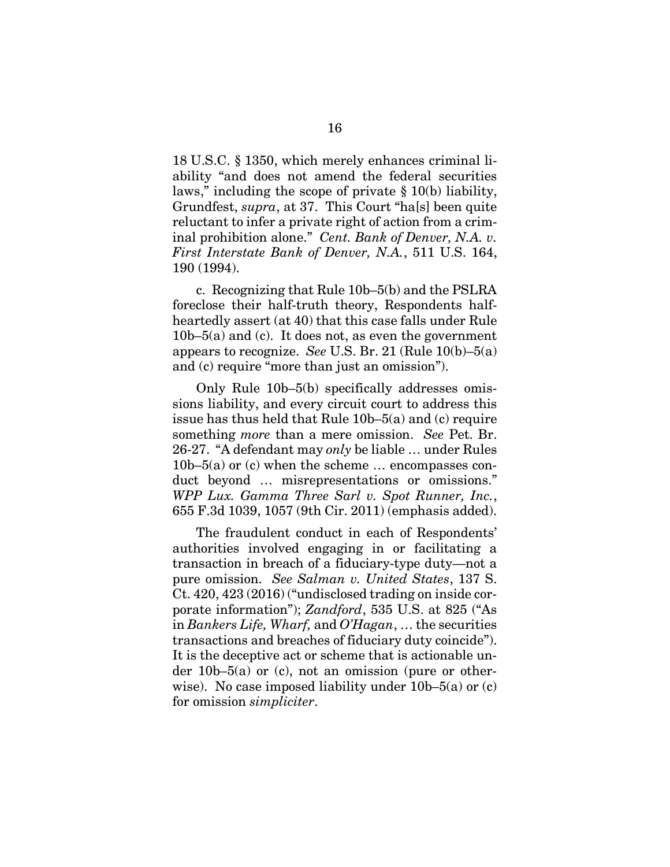18 U.S.C. § 1350, which merely enhances criminal liability "and does not amend the federal securities laws," including the scope of private § 10(b) liability, Grundfest, *supra*, at 37. This Court "ha[s] been quite reluctant to infer a private right of action from a criminal prohibition alone." *Cent. Bank of Denver, N.A. v. First Interstate Bank of Denver, N.A.*, 511 U.S. 164, 190 (1994).

c. Recognizing that Rule 10b–5(b) and the PSLRA foreclose their half-truth theory, Respondents halfheartedly assert (at 40) that this case falls under Rule  $10b-5(a)$  and (c). It does not, as even the government appears to recognize. *See* U.S. Br. 21 (Rule 10(b)–5(a) and (c) require "more than just an omission").

Only Rule 10b–5(b) specifically addresses omissions liability, and every circuit court to address this issue has thus held that Rule 10b–5(a) and (c) require something *more* than a mere omission. *See* Pet. Br. 26-27. "A defendant may *only* be liable … under Rules  $10b-5(a)$  or (c) when the scheme ... encompasses conduct beyond … misrepresentations or omissions." *WPP Lux. Gamma Three Sarl v. Spot Runner, Inc.*, 655 F.3d 1039, 1057 (9th Cir. 2011) (emphasis added).

<span id="page-23-2"></span><span id="page-23-1"></span><span id="page-23-0"></span>The fraudulent conduct in each of Respondents' authorities involved engaging in or facilitating a transaction in breach of a fiduciary-type duty—not a pure omission. *See Salman v. United States*, 137 S. Ct. 420, 423 (2016) ("undisclosed trading on inside corporate information"); *Zandford*, 535 U.S. at 825 ("As in *Bankers Life, Wharf,* and *O'Hagan*, … the securities transactions and breaches of fiduciary duty coincide"). It is the deceptive act or scheme that is actionable under 10b–5(a) or (c), not an omission (pure or otherwise). No case imposed liability under 10b–5(a) or (c) for omission *simpliciter*.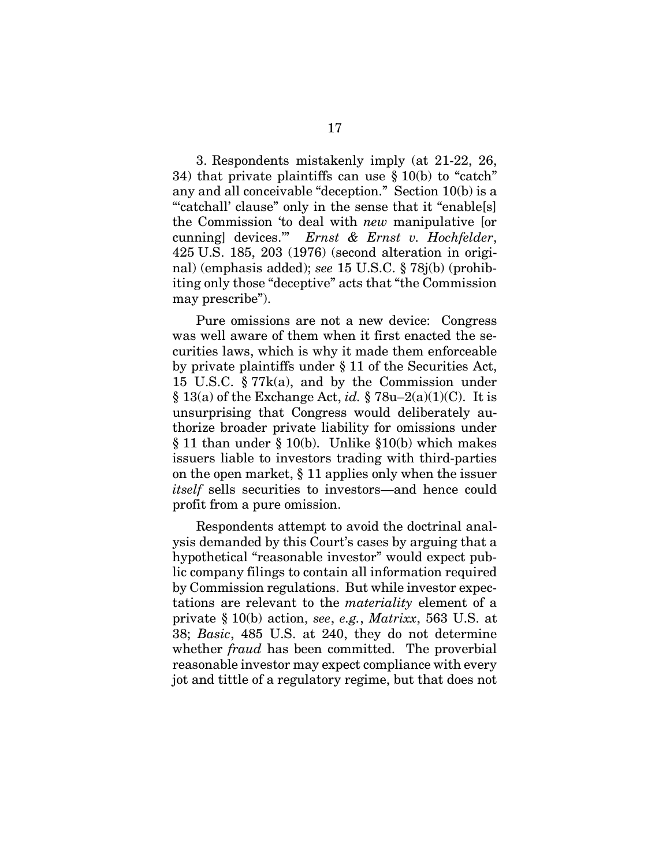<span id="page-24-1"></span>3. Respondents mistakenly imply (at 21-22, 26, 34) that private plaintiffs can use § 10(b) to "catch" any and all conceivable "deception." Section 10(b) is a "catchall' clause" only in the sense that it "enable<sup>[s]</sup> the Commission 'to deal with *new* manipulative [or cunning] devices.'" *Ernst & Ernst v. Hochfelder*, 425 U.S. 185, 203 (1976) (second alteration in original) (emphasis added); *see* 15 U.S.C. § 78j(b) (prohibiting only those "deceptive" acts that "the Commission may prescribe").

<span id="page-24-5"></span><span id="page-24-4"></span><span id="page-24-3"></span>Pure omissions are not a new device: Congress was well aware of them when it first enacted the securities laws, which is why it made them enforceable by private plaintiffs under § 11 of the Securities Act, 15 U.S.C. § 77k(a), and by the Commission under § 13(a) of the Exchange Act, *id.* § 78u–2(a)(1)(C). It is unsurprising that Congress would deliberately authorize broader private liability for omissions under § 11 than under § 10(b). Unlike §10(b) which makes issuers liable to investors trading with third-parties on the open market, § 11 applies only when the issuer *itself* sells securities to investors—and hence could profit from a pure omission.

<span id="page-24-2"></span><span id="page-24-0"></span>Respondents attempt to avoid the doctrinal analysis demanded by this Court's cases by arguing that a hypothetical "reasonable investor" would expect public company filings to contain all information required by Commission regulations. But while investor expectations are relevant to the *materiality* element of a private § 10(b) action, *see*, *e.g.*, *Matrixx*, 563 U.S. at 38; *Basic*, 485 U.S. at 240, they do not determine whether *fraud* has been committed. The proverbial reasonable investor may expect compliance with every jot and tittle of a regulatory regime, but that does not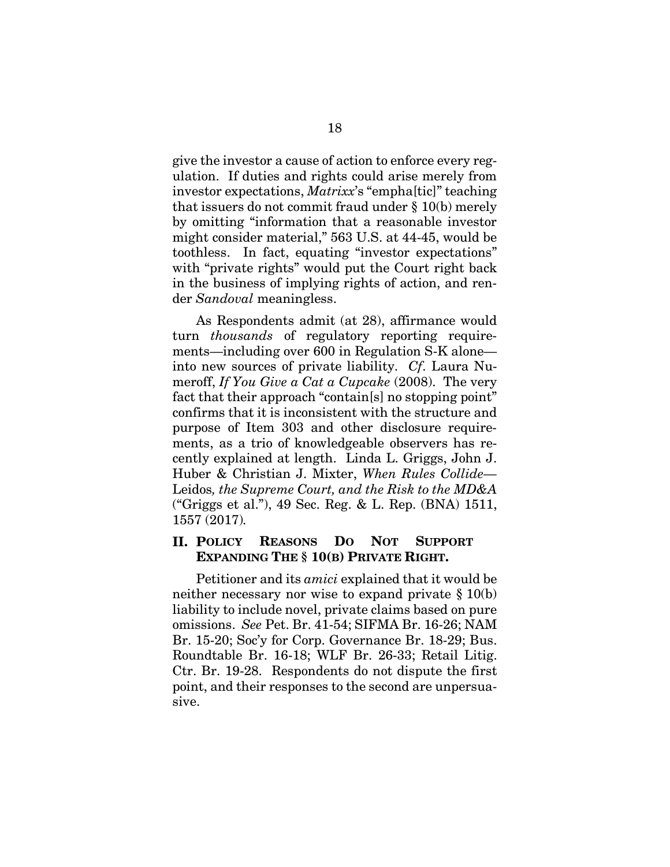<span id="page-25-0"></span>give the investor a cause of action to enforce every regulation. If duties and rights could arise merely from investor expectations, *Matrixx*'s "empha[tic]" teaching that issuers do not commit fraud under § 10(b) merely by omitting "information that a reasonable investor might consider material," 563 U.S. at 44-45, would be toothless. In fact, equating "investor expectations" with "private rights" would put the Court right back in the business of implying rights of action, and render *Sandoval* meaningless.

<span id="page-25-2"></span>As Respondents admit (at 28), affirmance would turn *thousands* of regulatory reporting requirements—including over 600 in Regulation S-K alone into new sources of private liability. *Cf*. Laura Numeroff, *If You Give a Cat a Cupcake* (2008). The very fact that their approach "contain[s] no stopping point" confirms that it is inconsistent with the structure and purpose of Item 303 and other disclosure requirements, as a trio of knowledgeable observers has recently explained at length. Linda L. Griggs, John J. Huber & Christian J. Mixter, *When Rules Collide—* Leidos*, the Supreme Court, and the Risk to the MD&A*  ("Griggs et al."), 49 Sec. Reg. & L. Rep. (BNA) 1511, 1557 (2017)*.*

### <span id="page-25-1"></span>**II. POLICY REASONS DO NOT SUPPORT EXPANDING THE § 10(B) PRIVATE RIGHT.**

Petitioner and its *amici* explained that it would be neither necessary nor wise to expand private § 10(b) liability to include novel, private claims based on pure omissions. *See* Pet. Br. 41-54; SIFMA Br. 16-26; NAM Br. 15-20; Soc'y for Corp. Governance Br. 18-29; Bus. Roundtable Br. 16-18; WLF Br. 26-33; Retail Litig. Ctr. Br. 19-28. Respondents do not dispute the first point, and their responses to the second are unpersuasive.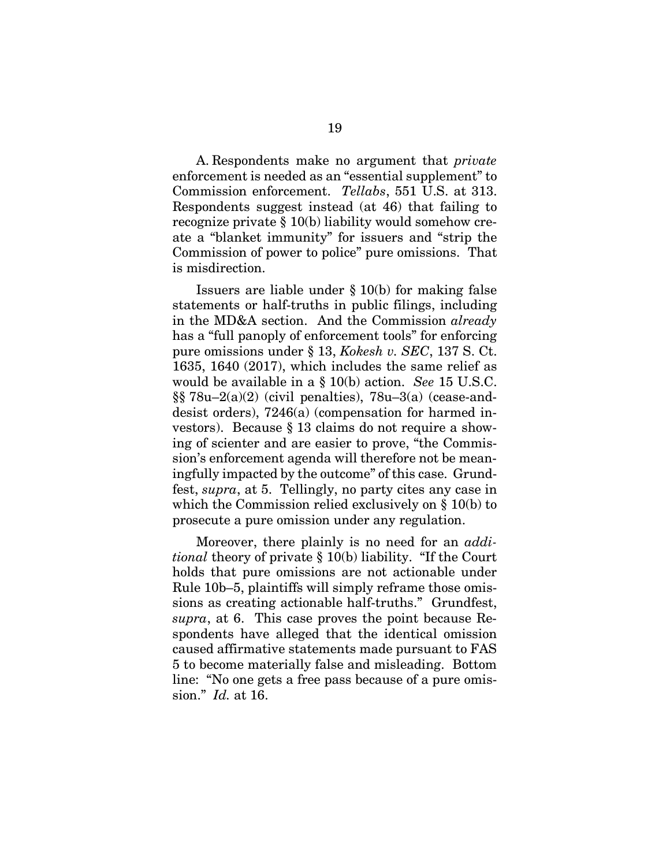<span id="page-26-1"></span>A. Respondents make no argument that *private*  enforcement is needed as an "essential supplement" to Commission enforcement. *Tellabs*, 551 U.S. at 313. Respondents suggest instead (at 46) that failing to recognize private § 10(b) liability would somehow create a "blanket immunity" for issuers and "strip the Commission of power to police" pure omissions. That is misdirection.

<span id="page-26-2"></span><span id="page-26-0"></span>Issuers are liable under  $\S 10(b)$  for making false statements or half-truths in public filings, including in the MD&A section. And the Commission *already*  has a "full panoply of enforcement tools" for enforcing pure omissions under § 13, *Kokesh v. SEC*, 137 S. Ct. 1635, 1640 (2017), which includes the same relief as would be available in a § 10(b) action. *See* 15 U.S.C.  $\S$ §78u–2(a)(2) (civil penalties), 78u–3(a) (cease-anddesist orders), 7246(a) (compensation for harmed investors). Because § 13 claims do not require a showing of scienter and are easier to prove, "the Commission's enforcement agenda will therefore not be meaningfully impacted by the outcome" of this case. Grundfest, *supra*, at 5. Tellingly, no party cites any case in which the Commission relied exclusively on § 10(b) to prosecute a pure omission under any regulation.

Moreover, there plainly is no need for an *additional* theory of private § 10(b) liability. "If the Court holds that pure omissions are not actionable under Rule 10b–5, plaintiffs will simply reframe those omissions as creating actionable half-truths." Grundfest, *supra*, at 6. This case proves the point because Respondents have alleged that the identical omission caused affirmative statements made pursuant to FAS 5 to become materially false and misleading. Bottom line: "No one gets a free pass because of a pure omission." *Id.* at 16.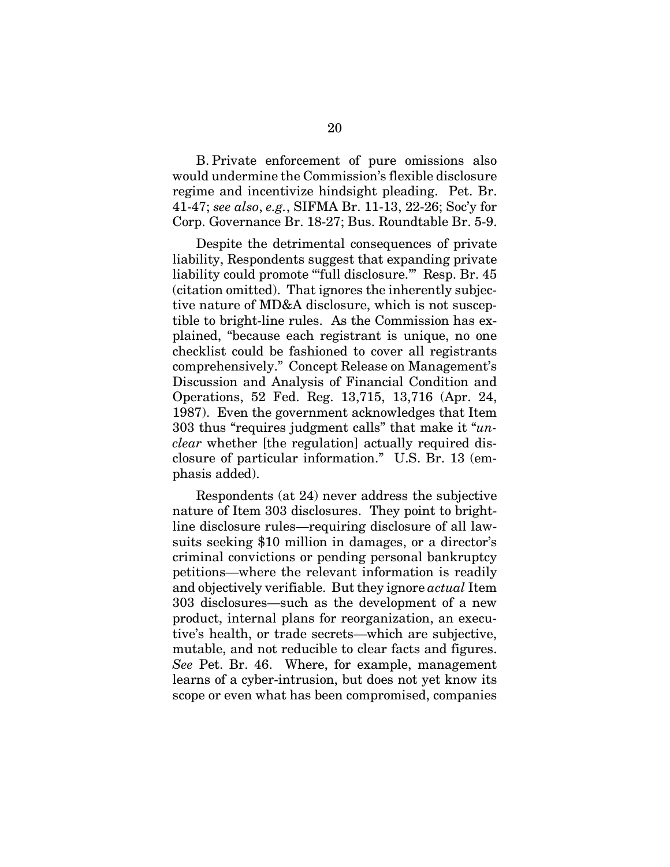B. Private enforcement of pure omissions also would undermine the Commission's flexible disclosure regime and incentivize hindsight pleading. Pet. Br. 41-47; *see also*, *e.g.*, SIFMA Br. 11-13, 22-26; Soc'y for Corp. Governance Br. 18-27; Bus. Roundtable Br. 5-9.

Despite the detrimental consequences of private liability, Respondents suggest that expanding private liability could promote "full disclosure." Resp. Br. 45 (citation omitted). That ignores the inherently subjective nature of MD&A disclosure, which is not susceptible to bright-line rules. As the Commission has explained, "because each registrant is unique, no one checklist could be fashioned to cover all registrants comprehensively." Concept Release on Management's Discussion and Analysis of Financial Condition and Operations, 52 Fed. Reg. 13,715, 13,716 (Apr. 24, 1987). Even the government acknowledges that Item 303 thus "requires judgment calls" that make it "*unclear* whether [the regulation] actually required disclosure of particular information." U.S. Br. 13 (emphasis added).

<span id="page-27-0"></span>Respondents (at 24) never address the subjective nature of Item 303 disclosures. They point to brightline disclosure rules—requiring disclosure of all lawsuits seeking \$10 million in damages, or a director's criminal convictions or pending personal bankruptcy petitions—where the relevant information is readily and objectively verifiable. But they ignore *actual* Item 303 disclosures—such as the development of a new product, internal plans for reorganization, an executive's health, or trade secrets—which are subjective, mutable, and not reducible to clear facts and figures. *See* Pet. Br. 46. Where, for example, management learns of a cyber-intrusion, but does not yet know its scope or even what has been compromised, companies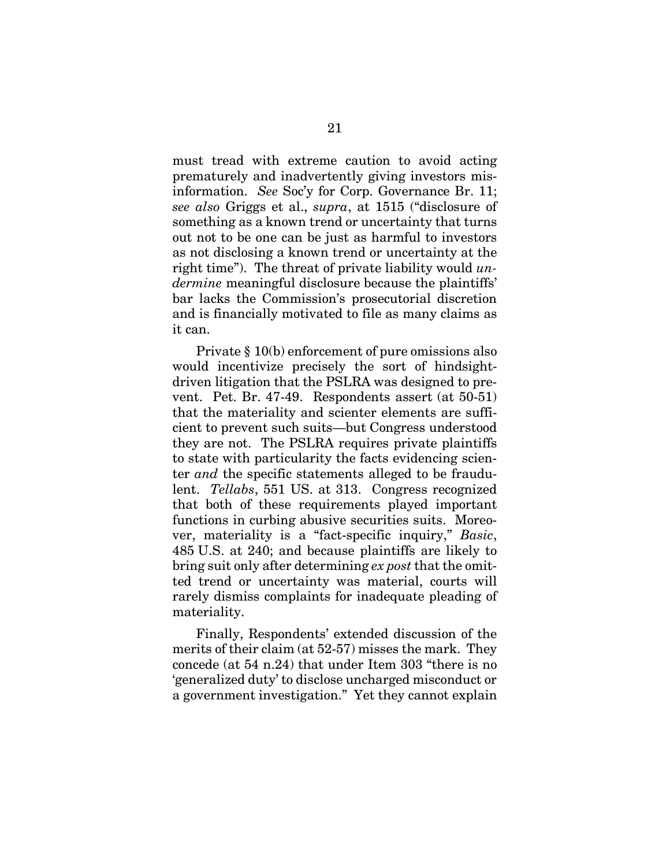<span id="page-28-2"></span>must tread with extreme caution to avoid acting prematurely and inadvertently giving investors misinformation. *See* Soc'y for Corp. Governance Br. 11; *see also* Griggs et al., *supra*, at 1515 ("disclosure of something as a known trend or uncertainty that turns out not to be one can be just as harmful to investors as not disclosing a known trend or uncertainty at the right time"). The threat of private liability would *undermine* meaningful disclosure because the plaintiffs' bar lacks the Commission's prosecutorial discretion and is financially motivated to file as many claims as it can.

<span id="page-28-1"></span>Private § 10(b) enforcement of pure omissions also would incentivize precisely the sort of hindsightdriven litigation that the PSLRA was designed to prevent. Pet. Br. 47-49. Respondents assert (at 50-51) that the materiality and scienter elements are sufficient to prevent such suits—but Congress understood they are not. The PSLRA requires private plaintiffs to state with particularity the facts evidencing scienter *and* the specific statements alleged to be fraudulent. *Tellabs*, 551 US. at 313. Congress recognized that both of these requirements played important functions in curbing abusive securities suits. Moreover, materiality is a "fact-specific inquiry," *Basic*, 485 U.S. at 240; and because plaintiffs are likely to bring suit only after determining *ex post* that the omitted trend or uncertainty was material, courts will rarely dismiss complaints for inadequate pleading of materiality.

<span id="page-28-0"></span>Finally, Respondents' extended discussion of the merits of their claim (at 52-57) misses the mark. They concede (at 54 n.24) that under Item 303 "there is no 'generalized duty' to disclose uncharged misconduct or a government investigation." Yet they cannot explain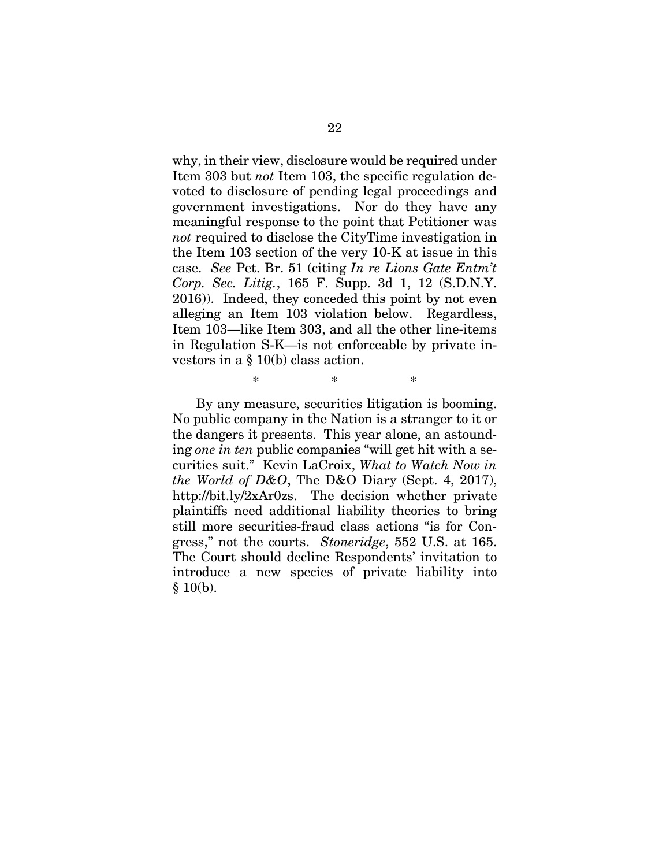why, in their view, disclosure would be required under Item 303 but *not* Item 103, the specific regulation devoted to disclosure of pending legal proceedings and government investigations. Nor do they have any meaningful response to the point that Petitioner was *not* required to disclose the CityTime investigation in the Item 103 section of the very 10-K at issue in this case. *See* Pet. Br. 51 (citing *In re Lions Gate Entm't Corp. Sec. Litig.*, 165 F. Supp. 3d 1, 12 (S.D.N.Y. 2016)). Indeed, they conceded this point by not even alleging an Item 103 violation below. Regardless, Item 103—like Item 303, and all the other line-items in Regulation S-K—is not enforceable by private investors in a § 10(b) class action.

By any measure, securities litigation is booming. No public company in the Nation is a stranger to it or the dangers it presents. This year alone, an astounding *one in ten* public companies "will get hit with a securities suit." Kevin LaCroix, *What to Watch Now in the World of D&O*, The D&O Diary (Sept. 4, 2017), http://bit.ly/2xAr0zs. The decision whether private plaintiffs need additional liability theories to bring still more securities-fraud class actions "is for Congress," not the courts. *Stoneridge*, 552 U.S. at 165. The Court should decline Respondents' invitation to introduce a new species of private liability into  $§$  10(b).

<span id="page-29-2"></span><span id="page-29-1"></span><span id="page-29-0"></span>\* \* \*